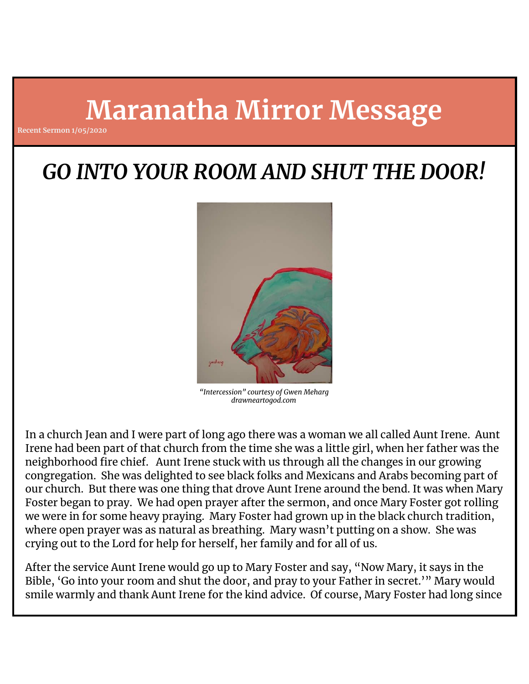# **Maranatha Mirror Message**

**Recent Sermon 1/05/2020**

## *GO INTO YOUR ROOM AND SHUT THE DOOR!*



*"Intercession" courtesy of Gwen Meharg drawneartogod.com*

In a church Jean and I were part of long ago there was a woman we all called Aunt Irene. Aunt Irene had been part of that church from the time she was a little girl, when her father was the neighborhood fire chief. Aunt Irene stuck with us through all the changes in our growing congregation. She was delighted to see black folks and Mexicans and Arabs becoming part of our church. But there was one thing that drove Aunt Irene around the bend. It was when Mary Foster began to pray. We had open prayer after the sermon, and once Mary Foster got rolling we were in for some heavy praying. Mary Foster had grown up in the black church tradition, where open prayer was as natural as breathing. Mary wasn't putting on a show. She was crying out to the Lord for help for herself, her family and for all of us.

After the service Aunt Irene would go up to Mary Foster and say, "Now Mary, it says in the Bible, 'Go into your room and shut the door, and pray to your Father in secret.'" Mary would smile warmly and thank Aunt Irene for the kind advice. Of course, Mary Foster had long since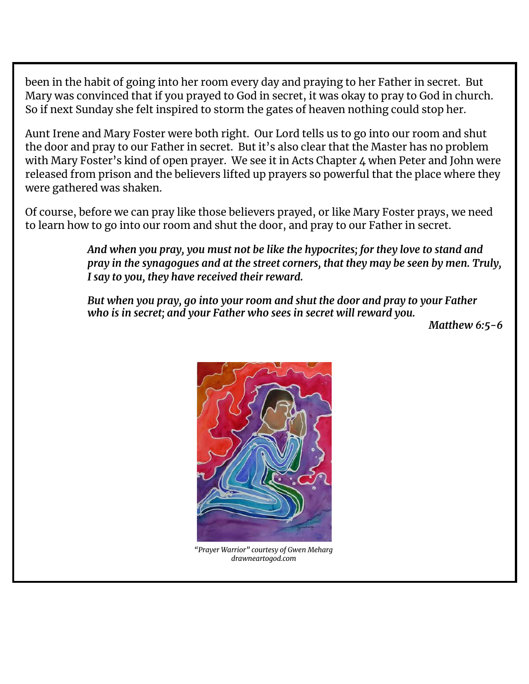been in the habit of going into her room every day and praying to her Father in secret. But Mary was convinced that if you prayed to God in secret, it was okay to pray to God in church. So if next Sunday she felt inspired to storm the gates of heaven nothing could stop her.

Aunt Irene and Mary Foster were both right. Our Lord tells us to go into our room and shut the door and pray to our Father in secret. But it's also clear that the Master has no problem with Mary Foster's kind of open prayer. We see it in Acts Chapter 4 when Peter and John were released from prison and the believers lifted up prayers so powerful that the place where they were gathered was shaken.

Of course, before we can pray like those believers prayed, or like Mary Foster prays, we need to learn how to go into our room and shut the door, and pray to our Father in secret.

> *And when you pray, you must not be like the hypocrites; for they love to stand and pray in the synagogues and at the street corners, that they may be seen by men. Truly, I say to you, they have received their reward.*

*But when you pray, go into your room and shut the door and pray to your Father who is in secret; and your Father who sees in secret will reward you.*

*Matthew 6:5-6*



*"Prayer Warrior" courtesy of Gwen Meharg drawneartogod.com*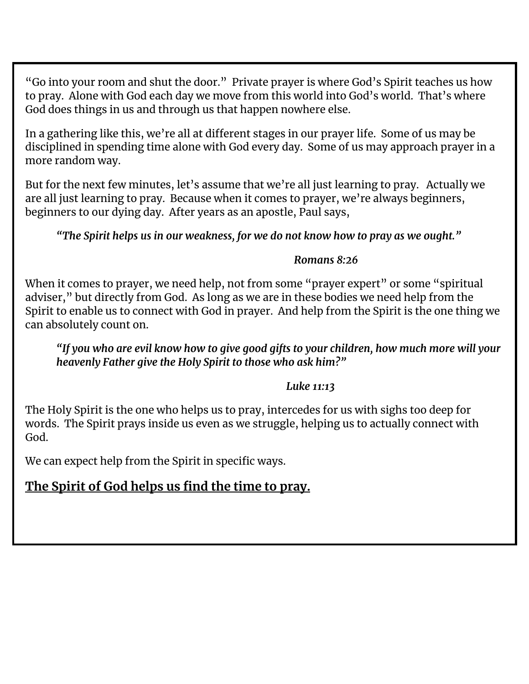"Go into your room and shut the door." Private prayer is where God's Spirit teaches us how to pray. Alone with God each day we move from this world into God's world. That's where God does things in us and through us that happen nowhere else.

In a gathering like this, we're all at different stages in our prayer life. Some of us may be disciplined in spending time alone with God every day. Some of us may approach prayer in a more random way.

But for the next few minutes, let's assume that we're all just learning to pray. Actually we are all just learning to pray. Because when it comes to prayer, we're always beginners, beginners to our dying day. After years as an apostle, Paul says,

*"The Spirit helps us in our weakness, for we do not know how to pray as we ought."*

#### *Romans 8:26*

When it comes to prayer, we need help, not from some "prayer expert" or some "spiritual adviser," but directly from God. As long as we are in these bodies we need help from the Spirit to enable us to connect with God in prayer. And help from the Spirit is the one thing we can absolutely count on.

*"If you who are evil know how to give good gifts to your children, how much more will your heavenly Father give the Holy Spirit to those who ask him?"*

#### *Luke 11:13*

The Holy Spirit is the one who helps us to pray, intercedes for us with sighs too deep for words. The Spirit prays inside us even as we struggle, helping us to actually connect with God.

We can expect help from the Spirit in specific ways.

## **The Spirit of God helps us find the time to pray.**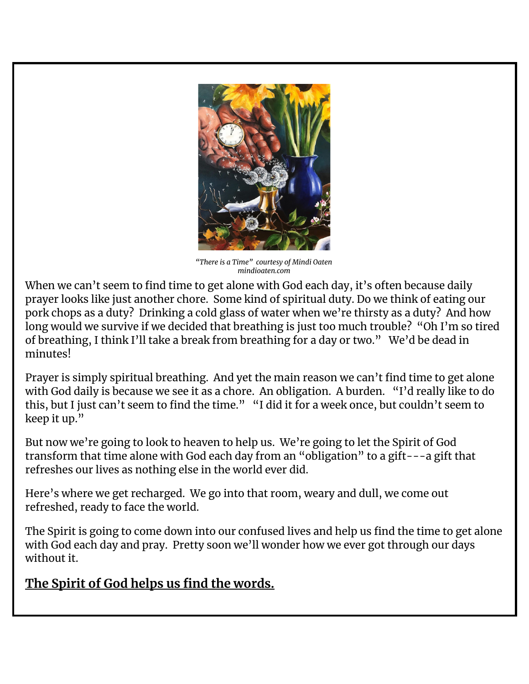

*"There is a Time" courtesy of Mindi Oaten mindioaten.com*

When we can't seem to find time to get alone with God each day, it's often because daily prayer looks like just another chore. Some kind of spiritual duty. Do we think of eating our pork chops as a duty? Drinking a cold glass of water when we're thirsty as a duty? And how long would we survive if we decided that breathing is just too much trouble? "Oh I'm so tired of breathing, I think I'll take a break from breathing for a day or two." We'd be dead in minutes!

Prayer is simply spiritual breathing. And yet the main reason we can't find time to get alone with God daily is because we see it as a chore. An obligation. A burden. "I'd really like to do this, but I just can't seem to find the time." "I did it for a week once, but couldn't seem to keep it up."

But now we're going to look to heaven to help us. We're going to let the Spirit of God transform that time alone with God each day from an "obligation" to a gift---a gift that refreshes our lives as nothing else in the world ever did.

Here's where we get recharged. We go into that room, weary and dull, we come out refreshed, ready to face the world.

The Spirit is going to come down into our confused lives and help us find the time to get alone with God each day and pray. Pretty soon we'll wonder how we ever got through our days without it.

## **The Spirit of God helps us find the words.**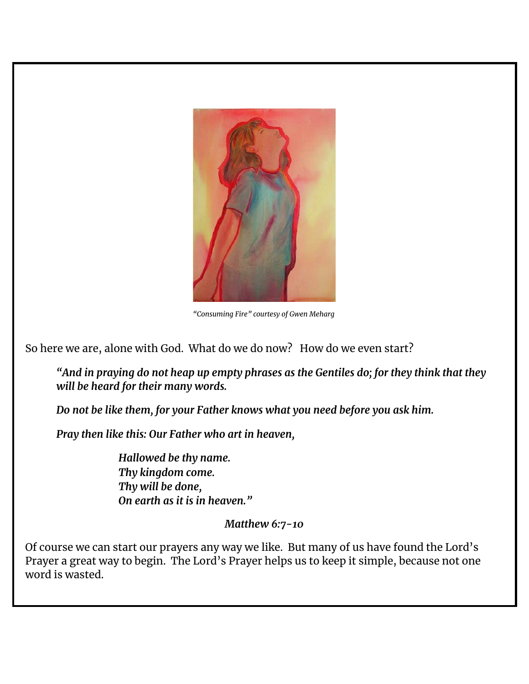

*"Consuming Fire" courtesy of Gwen Meharg*

So here we are, alone with God. What do we do now? How do we even start?

*"And in praying do not heap up empty phrases as the Gentiles do; for they think that they will be heard for their many words.*

*Do not be like them, for your Father knows what you need before you ask him.*

*Pray then like this: Our Father who art in heaven,*

*Hallowed be thy name. Thy kingdom come. Thy will be done, On earth as it is in heaven."*

#### *Matthew 6:7-10*

Of course we can start our prayers any way we like. But many of us have found the Lord's Prayer a great way to begin. The Lord's Prayer helps us to keep it simple, because not one word is wasted.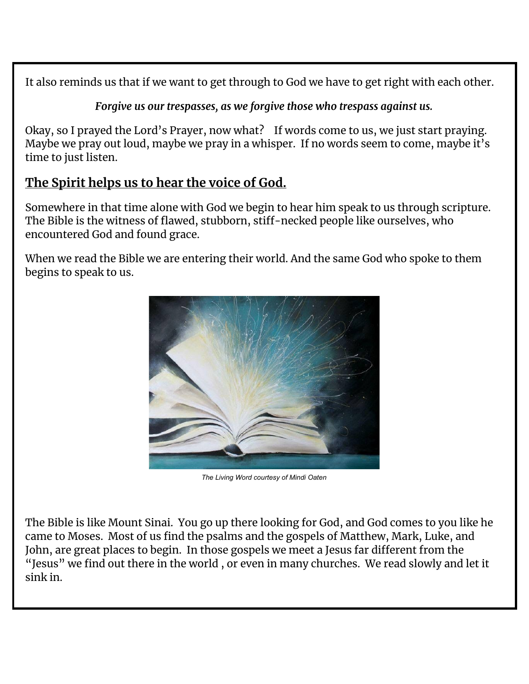It also reminds us that if we want to get through to God we have to get right with each other.

*Forgive us our trespasses, as we forgive those who trespass against us.*

Okay, so I prayed the Lord's Prayer, now what? If words come to us, we just start praying. Maybe we pray out loud, maybe we pray in a whisper. If no words seem to come, maybe it's time to just listen.

## **The Spirit helps us to hear the voice of God.**

Somewhere in that time alone with God we begin to hear him speak to us through scripture. The Bible is the witness of flawed, stubborn, stiff-necked people like ourselves, who encountered God and found grace.

When we read the Bible we are entering their world. And the same God who spoke to them begins to speak to us.



*The Living Word courtesy of Mindi Oaten*

The Bible is like Mount Sinai. You go up there looking for God, and God comes to you like he came to Moses. Most of us find the psalms and the gospels of Matthew, Mark, Luke, and John, are great places to begin. In those gospels we meet a Jesus far different from the "Jesus" we find out there in the world , or even in many churches. We read slowly and let it sink in.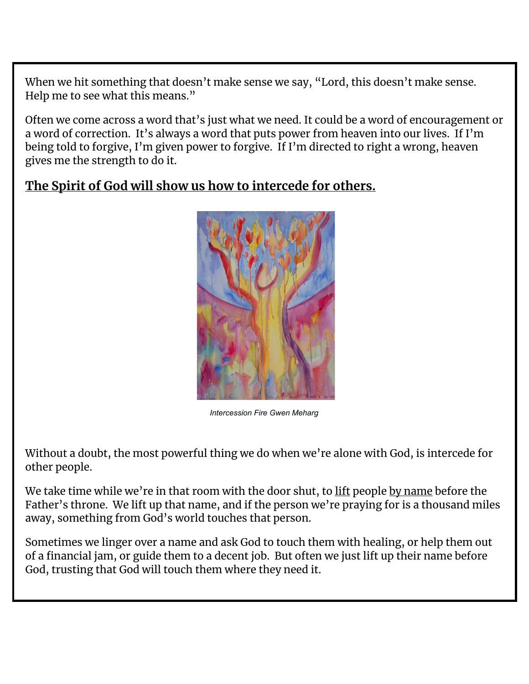When we hit something that doesn't make sense we say, "Lord, this doesn't make sense. Help me to see what this means."

Often we come across a word that's just what we need. It could be a word of encouragement or a word of correction. It's always a word that puts power from heaven into our lives. If I'm being told to forgive, I'm given power to forgive. If I'm directed to right a wrong, heaven gives me the strength to do it.

## **The Spirit of God will show us how to intercede for others.**



*Intercession Fire Gwen Meharg*

Without a doubt, the most powerful thing we do when we're alone with God, is intercede for other people.

We take time while we're in that room with the door shut, to lift people by name before the Father's throne. We lift up that name, and if the person we're praying for is a thousand miles away, something from God's world touches that person.

Sometimes we linger over a name and ask God to touch them with healing, or help them out of a financial jam, or guide them to a decent job. But often we just lift up their name before God, trusting that God will touch them where they need it.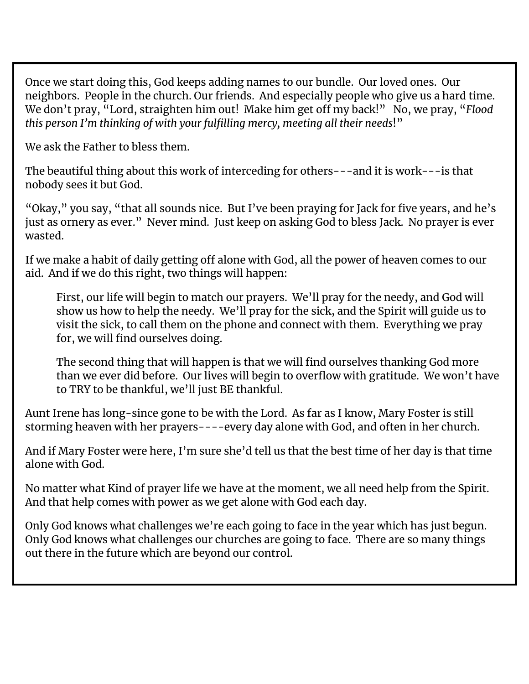Once we start doing this, God keeps adding names to our bundle. Our loved ones. Our neighbors. People in the church. Our friends. And especially people who give us a hard time. We don't pray, "Lord, straighten him out! Make him get off my back!" No, we pray, "*Flood this person I'm thinking of with your fulfilling mercy, meeting all their needs*!"

We ask the Father to bless them.

The beautiful thing about this work of interceding for others---and it is work---is that nobody sees it but God.

"Okay," you say, "that all sounds nice. But I've been praying for Jack for five years, and he's just as ornery as ever." Never mind. Just keep on asking God to bless Jack. No prayer is ever wasted.

If we make a habit of daily getting off alone with God, all the power of heaven comes to our aid. And if we do this right, two things will happen:

First, our life will begin to match our prayers. We'll pray for the needy, and God will show us how to help the needy. We'll pray for the sick, and the Spirit will guide us to visit the sick, to call them on the phone and connect with them. Everything we pray for, we will find ourselves doing.

The second thing that will happen is that we will find ourselves thanking God more than we ever did before. Our lives will begin to overflow with gratitude. We won't have to TRY to be thankful, we'll just BE thankful.

Aunt Irene has long-since gone to be with the Lord. As far as I know, Mary Foster is still storming heaven with her prayers----every day alone with God, and often in her church.

And if Mary Foster were here, I'm sure she'd tell us that the best time of her day is that time alone with God.

No matter what Kind of prayer life we have at the moment, we all need help from the Spirit. And that help comes with power as we get alone with God each day.

Only God knows what challenges we're each going to face in the year which has just begun. Only God knows what challenges our churches are going to face. There are so many things out there in the future which are beyond our control.